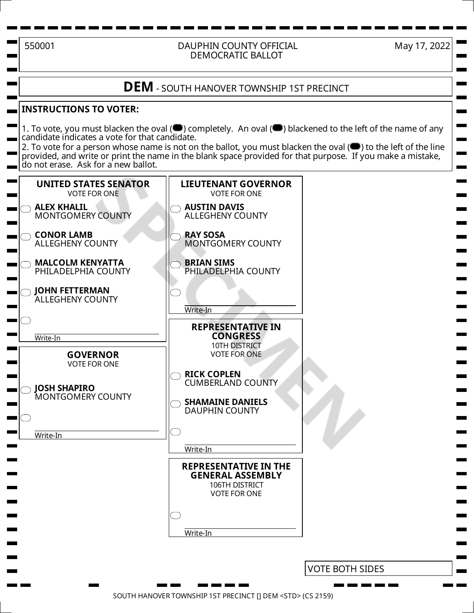## 550001 DAUPHIN COUNTY OFFICIAL DEMOCRATIC BALLOT

May 17, 2022

## **DEM** - SOUTH HANOVER TOWNSHIP 1ST PRECINCT

## **INSTRUCTIONS TO VOTER:**

1. To vote, you must blacken the oval  $(\blacksquare)$  completely. An oval  $(\blacksquare)$  blackened to the left of the name of any candidate indicates a vote for that candidate.

2. To vote for a person whose name is not on the ballot, you must blacken the oval ( $\bullet$ ) to the left of the line provided, and write or print the name in the blank space provided for that purpose. If you make a mistake, do not erase. Ask for a new ballot.



VOTE BOTH SIDES